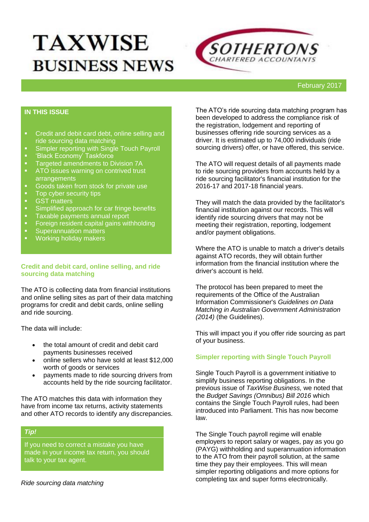# **TAXWISE BUSINESS NEWS**



#### February 2017

## **IN THIS ISSUE**

- **•** Credit and debit card debt, online selling and ride sourcing data matching
- Simpler reporting with Single Touch Payroll
- 'Black Economy' Taskforce
- **Targeted amendments to Division 7A**
- **ATO** issues warning on contrived trust arrangements
- Goods taken from stock for private use<br>Concyber security tips
- Top cyber security tips<br>■ GST matters
- GST matters<br>Simplified and
- **Simplified approach for car fringe benefits**<br>**EXECUTE:** Taxable payments annual report
- **Taxable payments annual report**<br>**Foreign resident capital gains wit**
- Foreign resident capital gains withholding
- **Superannuation matters**
- **Working holiday makers**

#### **Credit and debit card, online selling, and ride sourcing data matching**

The ATO is collecting data from financial institutions and online selling sites as part of their data matching programs for credit and debit cards, online selling and ride sourcing.

The data will include:

- the total amount of credit and debit card payments businesses received
- online sellers who have sold at least \$12,000 worth of goods or services
- payments made to ride sourcing drivers from accounts held by the ride sourcing facilitator.

The ATO matches this data with information they have from income tax returns, activity statements and other ATO records to identify any discrepancies.

## *Tip!*

If you need to correct a mistake you have made in your income tax return, you should talk to your tax agent.

The ATO's ride sourcing data matching program has been developed to address the compliance risk of the registration, lodgement and reporting of businesses offering ride sourcing services as a driver. It is estimated up to 74,000 individuals (ride sourcing drivers) offer, or have offered, this service.

The ATO will request details of all payments made to ride sourcing providers from accounts held by a ride sourcing facilitator's financial institution for the 2016-17 and 2017-18 financial years.

They will match the data provided by the facilitator's financial institution against our records. This will identify ride sourcing drivers that may not be meeting their registration, reporting, lodgement and/or payment obligations.

Where the ATO is unable to match a driver's details against ATO records, they will obtain further information from the financial institution where the driver's account is held.

The protocol has been prepared to meet the requirements of the Office of the Australian Information Commissioner's *Guidelines on Data Matching in Australian Government Administration (2014)* (the Guidelines).

This will impact you if you offer ride sourcing as part of your business.

#### **[Simpler reporting with Single Touch Payroll](http://taxinstitute.us7.list-manage.com/track/click?u=59eba50675aaae33d12f1f12c&id=086acb2b93&e=6fd6181ded)**

Single Touch Payroll is a government initiative to simplify business reporting obligations. In the previous issue of *TaxWise Business,* we noted that the *Budget Savings (Omnibus) Bill 2016* which contains the Single Touch Payroll rules, had been introduced into Parliament. This has now become law.

The Single Touch payroll regime will enable employers to report salary or wages, pay as you go (PAYG) withholding and superannuation information to the ATO from their payroll solution, at the same time they pay their employees. This will mean simpler reporting obligations and more options for completing tax and super forms electronically.

*Ride sourcing data matching*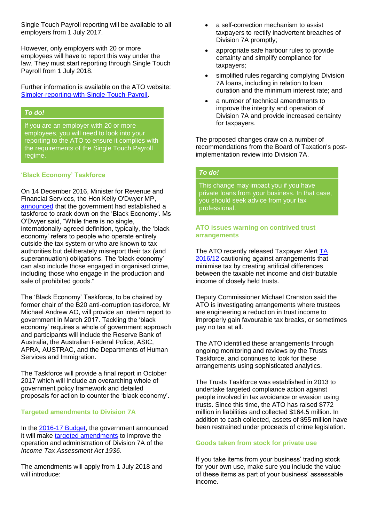Single Touch Payroll reporting will be available to all employers from 1 July 2017.

However, only employers with 20 or more employees will have to report this way under the law. They must start reporting through Single Touch Payroll from 1 July 2018.

Further information is available on the ATO website: [Simpler-reporting-with-Single-Touch-Payroll.](http://taxinstitute.us7.list-manage.com/track/click?u=59eba50675aaae33d12f1f12c&id=ed1bab7d97&e=6fd6181ded)

## *To do!*

If you are an employer with 20 or more employees, you will need to look into your reporting to the ATO to ensure it complies with the requirements of the Single Touch Payroll regime.

#### '**[Black Economy' Taskforce](http://taxinstitute.us7.list-manage1.com/track/click?u=59eba50675aaae33d12f1f12c&id=4988e732ee&e=6fd6181ded)**

On 14 December 2016, Minister for Revenue and Financial Services, the Hon Kelly O'Dwyer MP, [announced](http://taxinstitute.us7.list-manage1.com/track/click?u=59eba50675aaae33d12f1f12c&id=b9a96f10ce&e=6fd6181ded) that the government had established a taskforce to crack down on the 'Black Economy'. Ms O'Dwyer said, "While there is no single, internationally-agreed definition, typically, the 'black economy' refers to people who operate entirely outside the tax system or who are known to tax authorities but deliberately misreport their tax (and superannuation) obligations. The 'black economy' can also include those engaged in organised crime, including those who engage in the production and sale of prohibited goods."

The 'Black Economy' Taskforce, to be chaired by former chair of the B20 anti-corruption taskforce, Mr Michael Andrew AO, will provide an interim report to government in March 2017. Tackling the 'black economy' requires a whole of government approach and participants will include the Reserve Bank of Australia, the Australian Federal Police, ASIC, APRA, AUSTRAC, and the Departments of Human Services and Immigration.

The Taskforce will provide a final report in October 2017 which will include an overarching whole of government policy framework and detailed proposals for action to counter the 'black economy'.

#### **[Targeted amendments to Division 7A](http://taxinstitute.us7.list-manage1.com/track/click?u=59eba50675aaae33d12f1f12c&id=3ac3982e5a&e=6fd6181ded)**

In the [2016-17 Budget,](http://taxinstitute.us7.list-manage.com/track/click?u=59eba50675aaae33d12f1f12c&id=2e554df379&e=6fd6181ded) the government announced it will make [targeted amendments](http://taxinstitute.us7.list-manage.com/track/click?u=59eba50675aaae33d12f1f12c&id=c7be189102&e=6fd6181ded) to improve the operation and administration of Division 7A of the *Income Tax Assessment Act 1936*.

The amendments will apply from 1 July 2018 and will introduce:

- a self-correction mechanism to assist taxpayers to rectify inadvertent breaches of Division 7A promptly;
- appropriate safe harbour rules to provide certainty and simplify compliance for taxpayers;
- simplified rules regarding complying Division 7A loans, including in relation to loan duration and the minimum interest rate; and
- a number of technical amendments to improve the integrity and operation of Division 7A and provide increased certainty for taxpayers.

The proposed changes draw on a number of recommendations from the Board of Taxation's postimplementation review into Division 7A.

## *To do!*

This change may impact you if you have private loans from your business. In that case, you should seek advice from your tax professional.

#### **[ATO issues warning on contrived trust](http://taxinstitute.us7.list-manage1.com/track/click?u=59eba50675aaae33d12f1f12c&id=4a148e3790&e=6fd6181ded)  [arrangements](http://taxinstitute.us7.list-manage1.com/track/click?u=59eba50675aaae33d12f1f12c&id=4a148e3790&e=6fd6181ded)**

The ATO recently released Taxpayer Alert TA [2016/12](http://taxinstitute.us7.list-manage1.com/track/click?u=59eba50675aaae33d12f1f12c&id=88a4ef35f6&e=6fd6181ded) cautioning against arrangements that minimise tax by creating artificial differences between the taxable net income and distributable income of closely held trusts.

Deputy Commissioner Michael Cranston said the ATO is investigating arrangements where trustees are engineering a reduction in trust income to improperly gain favourable tax breaks, or sometimes pay no tax at all.

The ATO identified these arrangements through ongoing monitoring and reviews by the Trusts Taskforce, and continues to look for these arrangements using sophisticated analytics.

The Trusts Taskforce was established in 2013 to undertake targeted compliance action against people involved in tax avoidance or evasion using trusts. Since this time, the ATO has raised \$772 million in liabilities and collected \$164.5 million. In addition to cash collected, assets of \$55 million have been restrained under proceeds of crime legislation.

#### **[Goods taken from stock for private use](http://taxinstitute.us7.list-manage.com/track/click?u=59eba50675aaae33d12f1f12c&id=6076b76cd2&e=6fd6181ded)**

If you take items from your business' trading stock for your own use, make sure you include the value of these items as part of your business' assessable income.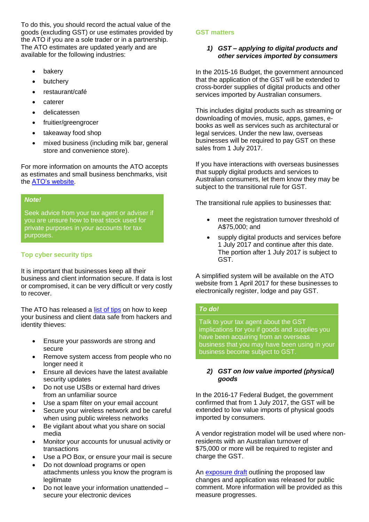To do this, you should record the actual value of the goods (excluding GST) or use estimates provided by the ATO if you are a sole trader or in a partnership. The ATO estimates are updated yearly and are available for the following industries:

- bakery
- butchery
- restaurant/café
- caterer
- delicatessen
- fruitier/greengrocer
- takeaway food shop
- mixed business (including milk bar, general store and convenience store).

For more information on amounts the ATO accepts as estimates and small business benchmarks, visit the [ATO's website.](http://taxinstitute.us7.list-manage1.com/track/click?u=59eba50675aaae33d12f1f12c&id=04c7266938&e=6fd6181ded)

## *Note!*

Seek advice from your tax agent or adviser if you are unsure how to treat stock used for private purposes in your accounts for tax purposes.

## **[Top cyber security tips](http://taxinstitute.us7.list-manage.com/track/click?u=59eba50675aaae33d12f1f12c&id=f28b8e2b8f&e=6fd6181ded)**

It is important that businesses keep all their business and client information secure. If data is lost or compromised, it can be very difficult or very costly to recover.

The ATO has released a [list of tips](http://taxinstitute.us7.list-manage.com/track/click?u=59eba50675aaae33d12f1f12c&id=e876424334&e=6fd6181ded) on how to keep your business and client data safe from hackers and identity thieves:

- Ensure your passwords are strong and secure
- Remove system access from people who no longer need it
- Ensure all devices have the latest available security updates
- Do not use USBs or external hard drives from an unfamiliar source
- Use a spam filter on your email account
- Secure your wireless network and be careful when using public wireless networks
- Be vigilant about what you share on social media
- Monitor your accounts for unusual activity or transactions
- Use a PO Box, or ensure your mail is secure
- Do not download programs or open attachments unless you know the program is legitimate
- Do not leave your information unattended secure your electronic devices

### **GST matters**

## *1) GST – [applying to digital products and](http://taxinstitute.us7.list-manage.com/track/click?u=59eba50675aaae33d12f1f12c&id=d5478aa42c&e=6fd6181ded)  [other services imported by consumers](http://taxinstitute.us7.list-manage.com/track/click?u=59eba50675aaae33d12f1f12c&id=d5478aa42c&e=6fd6181ded)*

In the 2015-16 Budget, the government announced that the application of the GST will be extended to cross-border supplies of digital products and other services imported by Australian consumers.

This includes digital products such as streaming or downloading of movies, music, apps, games, ebooks as well as services such as architectural or legal services. Under the new law, overseas businesses will be required to pay GST on these sales from 1 July 2017.

If you have interactions with overseas businesses that supply digital products and services to Australian consumers, let them know they may be subject to the transitional rule for GST.

The transitional rule applies to businesses that:

- meet the registration turnover threshold of A\$75,000; and
- supply digital products and services before 1 July 2017 and continue after this date. The portion after 1 July 2017 is subject to GST.

A simplified system will be available on the ATO website from 1 April 2017 for these businesses to electronically register, lodge and pay GST.

#### *To do!*

Talk to your tax agent about the GST implications for you if goods and supplies you have been acquiring from an overseas business that you may have been using in your business become subject to GST.

## *2) [GST on low value imported \(physical\)](http://taxinstitute.us7.list-manage.com/track/click?u=59eba50675aaae33d12f1f12c&id=2cba4ac714&e=6fd6181ded)  [goods](http://taxinstitute.us7.list-manage.com/track/click?u=59eba50675aaae33d12f1f12c&id=2cba4ac714&e=6fd6181ded)*

In the 2016-17 Federal Budget, the government confirmed that from 1 July 2017, the GST will be extended to low value imports of physical goods imported by consumers.

A vendor registration model will be used where nonresidents with an Australian turnover of \$75,000 or more will be required to register and charge the GST.

An **exposure draft** outlining the proposed law changes and application was released for public comment. More information will be provided as this measure progresses.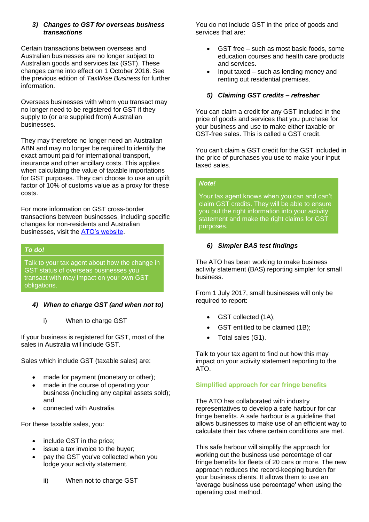## *3) [Changes to GST for overseas business](http://taxinstitute.us7.list-manage1.com/track/click?u=59eba50675aaae33d12f1f12c&id=5eba8bb9cf&e=6fd6181ded)  [transactions](http://taxinstitute.us7.list-manage1.com/track/click?u=59eba50675aaae33d12f1f12c&id=5eba8bb9cf&e=6fd6181ded)*

Certain transactions between overseas and Australian businesses are no longer subject to Australian goods and services tax (GST). These changes came into effect on 1 October 2016. See the previous edition of *TaxWise Business* for further information.

Overseas businesses with whom you transact may no longer need to be registered for GST if they supply to (or are supplied from) Australian businesses.

They may therefore no longer need an Australian ABN and may no longer be required to identify the exact amount paid for international transport, insurance and other ancillary costs. This applies when calculating the value of taxable importations for GST purposes. They can choose to use an uplift factor of 10% of customs value as a proxy for these costs.

For more information on GST cross-border transactions between businesses, including specific changes for non-residents and Australian businesses, visit the [ATO's website.](http://taxinstitute.us7.list-manage.com/track/click?u=59eba50675aaae33d12f1f12c&id=ac0463424a&e=6fd6181ded)

## *To do!*

Talk to your tax agent about how the change in GST status of overseas businesses you transact with may impact on your own GST obligations.

## *4) When to charge GST (and when not to)*

i) When to charge GST

If your business is registered for GST, most of the sales in Australia will include GST.

Sales which include GST (taxable sales) are:

- made for payment (monetary or other);
- made in the course of operating your business (including any capital assets sold); and
- connected with Australia.

For these taxable sales, you:

- include GST in the price;
- issue a tax invoice to the buyer;
- pay the GST you've collected when you lodge your activity statement.
	- ii) When not to charge GST

You do not include GST in the price of goods and services that are:

- GST free such as most basic foods, some education courses and health care products and services.
- Input taxed such as lending money and renting out residential premises.

## *5) Claiming GST credits – refresher*

You can claim a credit for any GST included in the price of goods and services that you purchase for your business and use to make either taxable or GST-free sales. This is called a GST credit.

You can't claim a GST credit for the GST included in the price of purchases you use to make your input taxed sales.

## *Note!*

Your tax agent knows when you can and can't claim GST credits. They will be able to ensure you put the right information into your activity statement and make the right claims for GST purposes.

## *6) Simpler BAS test findings*

The ATO has been working to make business activity statement (BAS) reporting simpler for small business.

From 1 July 2017, small businesses will only be required to report:

- GST collected (1A);
- GST entitled to be claimed (1B);
- Total sales (G1).

Talk to your tax agent to find out how this may impact on your activity statement reporting to the ATO.

## **[Simplified approach for car fringe benefits](http://taxinstitute.us7.list-manage.com/track/click?u=59eba50675aaae33d12f1f12c&id=07020737ab&e=6fd6181ded)**

The ATO has collaborated with industry representatives to develop a safe harbour for car fringe benefits. A safe harbour is a guideline that allows businesses to make use of an efficient way to calculate their tax where certain conditions are met.

This safe harbour will simplify the approach for working out the business use percentage of car fringe benefits for fleets of 20 cars or more. The new approach reduces the record-keeping burden for your business clients. It allows them to use an 'average business use percentage' when using the operating cost method.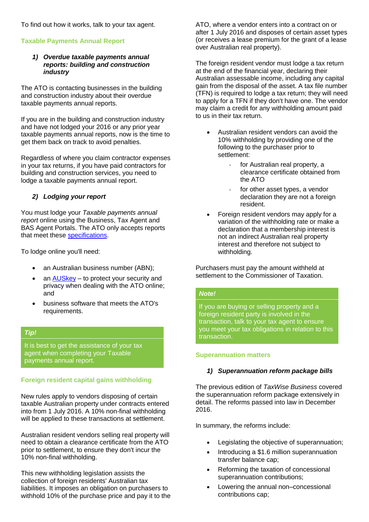To find out how it works, talk to your tax agent.

## **Taxable Payments Annual Report**

#### *1) [Overdue taxable payments annual](http://taxinstitute.us7.list-manage1.com/track/click?u=59eba50675aaae33d12f1f12c&id=f0c211235d&e=6fd6181ded)  [reports: building and construction](http://taxinstitute.us7.list-manage1.com/track/click?u=59eba50675aaae33d12f1f12c&id=f0c211235d&e=6fd6181ded)  [industry](http://taxinstitute.us7.list-manage1.com/track/click?u=59eba50675aaae33d12f1f12c&id=f0c211235d&e=6fd6181ded)*

The ATO is contacting businesses in the building and construction industry about their overdue taxable payments annual reports.

If you are in the building and construction industry and have not lodged your 2016 or any prior year taxable payments annual reports, now is the time to get them back on track to avoid penalties.

Regardless of where you claim contractor expenses in your tax returns, if you have paid contractors for building and construction services, you need to lodge a taxable payments annual report.

## *2) Lodging your report*

You must lodge your *Taxable payments annual report* online using the Business, Tax Agent and BAS Agent Portals. The ATO only accepts reports that meet these [specifications.](http://taxinstitute.us7.list-manage.com/track/click?u=59eba50675aaae33d12f1f12c&id=f6f631b236&e=6fd6181ded)

To lodge online you'll need:

- an Australian business number (ABN);
- an [AUSkey](http://taxinstitute.us7.list-manage2.com/track/click?u=59eba50675aaae33d12f1f12c&id=062700c537&e=6fd6181ded) to protect your security and privacy when dealing with the ATO online; and
- business software that meets the ATO's requirements.

#### *Tip!*

It is best to get the assistance of your tax agent when completing your Taxable payments annual report.

## **[Foreign resident capital gains withholding](http://taxinstitute.us7.list-manage.com/track/click?u=59eba50675aaae33d12f1f12c&id=fded8972c0&e=6fd6181ded)**

New rules apply to vendors disposing of certain taxable Australian property under contracts entered into from 1 July 2016. A 10% non-final withholding will be applied to these transactions at settlement.

Australian resident vendors selling real property will need to obtain a clearance certificate from the ATO prior to settlement, to ensure they don't incur the 10% non-final withholding.

This new withholding legislation assists the collection of foreign residents' Australian tax liabilities. It imposes an obligation on purchasers to withhold 10% of the purchase price and pay it to the ATO, where a vendor enters into a contract on or after 1 July 2016 and disposes of certain asset types (or receives a lease premium for the grant of a lease over Australian real property).

The foreign resident vendor must lodge a tax return at the end of the financial year, declaring their Australian assessable income, including any capital gain from the disposal of the asset. A tax file number (TFN) is required to lodge a tax return; they will need to apply for a TFN if they don't have one. The vendor may claim a credit for any withholding amount paid to us in their tax return.

- Australian resident vendors can avoid the 10% withholding by providing one of the following to the purchaser prior to settlement:
	- for Australian real property, a clearance certificate obtained from the ATO
	- for other asset types, a vendor declaration they are not a foreign resident.
- Foreign resident vendors may apply for a variation of the withholding rate or make a declaration that a membership interest is not an indirect Australian real property interest and therefore not subject to withholding.

Purchasers must pay the amount withheld at settlement to the Commissioner of Taxation.

#### *Note!*

If you are buying or selling property and a foreign resident party is involved in the transaction, talk to your tax agent to ensure you meet your tax obligations in relation to this transaction.

#### **Superannuation matters**

#### *1) [Superannuation reform package bills](http://taxinstitute.us7.list-manage.com/track/click?u=59eba50675aaae33d12f1f12c&id=ad93afca8f&e=6fd6181ded)*

The previous edition of *TaxWise Business* covered the superannuation reform package extensively in detail. The reforms passed into law in December 2016.

In summary, the reforms include:

- Legislating the objective of superannuation;
- Introducing a \$1.6 million superannuation transfer balance cap;
- Reforming the taxation of concessional superannuation contributions;
- Lowering the annual non–concessional contributions cap;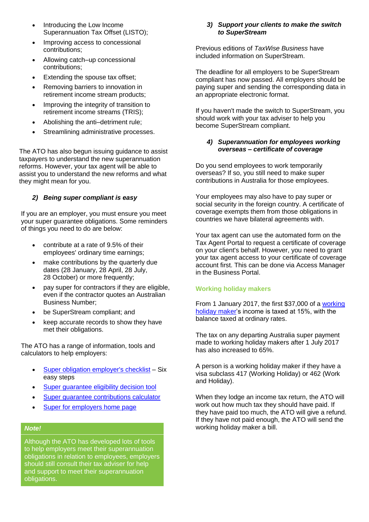- Introducing the Low Income Superannuation Tax Offset (LISTO);
- Improving access to concessional contributions;
- Allowing catch–up concessional contributions;
- Extending the spouse tax offset;
- Removing barriers to innovation in retirement income stream products;
- Improving the integrity of transition to retirement income streams (TRIS);
- Abolishing the anti–detriment rule;
- Streamlining administrative processes.

The ATO has also begun issuing guidance to assist taxpayers to understand the new superannuation reforms. However, your tax agent will be able to assist you to understand the new reforms and what they might mean for you.

## *2) [Being super compliant is easy](http://taxinstitute.us7.list-manage1.com/track/click?u=59eba50675aaae33d12f1f12c&id=a63c5b14a7&e=6fd6181ded)*

If you are an employer, you must ensure you meet your super guarantee obligations. Some reminders of things you need to do are below:

- contribute at a rate of 9.5% of their employees' ordinary time earnings;
- make contributions by the quarterly due dates (28 January, 28 April, 28 July, 28 October) or more frequently;
- pay super for contractors if they are eligible, even if the contractor quotes an Australian Business Number;
- be SuperStream compliant; and
- keep accurate records to show they have met their obligations.

The ATO has a range of information, tools and calculators to help employers:

- [Super obligation employer's checklist](http://taxinstitute.us7.list-manage.com/track/click?u=59eba50675aaae33d12f1f12c&id=139162254c&e=6fd6181ded) Six easy steps
- [Super guarantee eligibility decision tool](http://taxinstitute.us7.list-manage.com/track/click?u=59eba50675aaae33d12f1f12c&id=8288a61f15&e=6fd6181ded)
- [Super guarantee contributions calculator](http://taxinstitute.us7.list-manage.com/track/click?u=59eba50675aaae33d12f1f12c&id=bffa3ef927&e=6fd6181ded)
- [Super for employers home page](http://taxinstitute.us7.list-manage.com/track/click?u=59eba50675aaae33d12f1f12c&id=51fc70ceba&e=6fd6181ded)

#### *Note!*

Although the ATO has developed lots of tools to help employers meet their superannuation obligations in relation to employees, employers should still consult their tax adviser for help and support to meet their superannuation obligations.

#### *3) [Support your clients to make the switch](http://taxinstitute.us7.list-manage.com/track/click?u=59eba50675aaae33d12f1f12c&id=d785853c22&e=6fd6181ded)  [to SuperStream](http://taxinstitute.us7.list-manage.com/track/click?u=59eba50675aaae33d12f1f12c&id=d785853c22&e=6fd6181ded)*

Previous editions of *TaxWise Business* have included information on SuperStream.

The deadline for all employers to be SuperStream compliant has now passed. All employers should be paying super and sending the corresponding data in an appropriate electronic format.

If you haven't made the switch to SuperStream, you should work with your tax adviser to help you become SuperStream compliant.

## *4) [Superannuation for employees working](http://taxinstitute.us7.list-manage1.com/track/click?u=59eba50675aaae33d12f1f12c&id=bb291e6c75&e=6fd6181ded)  overseas – [certificate of coverage](http://taxinstitute.us7.list-manage1.com/track/click?u=59eba50675aaae33d12f1f12c&id=bb291e6c75&e=6fd6181ded)*

Do you send employees to work temporarily overseas? If so, you still need to make super contributions in Australia for those employees.

Your employees may also have to pay super or social security in the foreign country. A certificate of coverage exempts them from those obligations in countries we have bilateral agreements with.

Your tax agent can use the automated form on the Tax Agent Portal to request a certificate of coverage on your client's behalf. However, you need to grant your tax agent access to your certificate of coverage account first. This can be done via Access Manager in the Business Portal.

#### **Working holiday makers**

From 1 January 2017, the first \$37,000 of a [working](http://taxinstitute.us7.list-manage.com/track/click?u=59eba50675aaae33d12f1f12c&id=b87ce8df8a&e=6fd6181ded)  [holiday maker'](http://taxinstitute.us7.list-manage.com/track/click?u=59eba50675aaae33d12f1f12c&id=b87ce8df8a&e=6fd6181ded)s income is taxed at 15%, with the balance taxed at ordinary rates.

The tax on any departing Australia super payment made to working holiday makers after 1 July 2017 has also increased to 65%.

A person is a working holiday maker if they have a visa subclass 417 (Working Holiday) or 462 (Work and Holiday).

When they lodge an income tax return, the ATO will work out how much tax they should have paid. If they have paid too much, the ATO will give a refund. If they have not paid enough, the ATO will send the working holiday maker a bill.